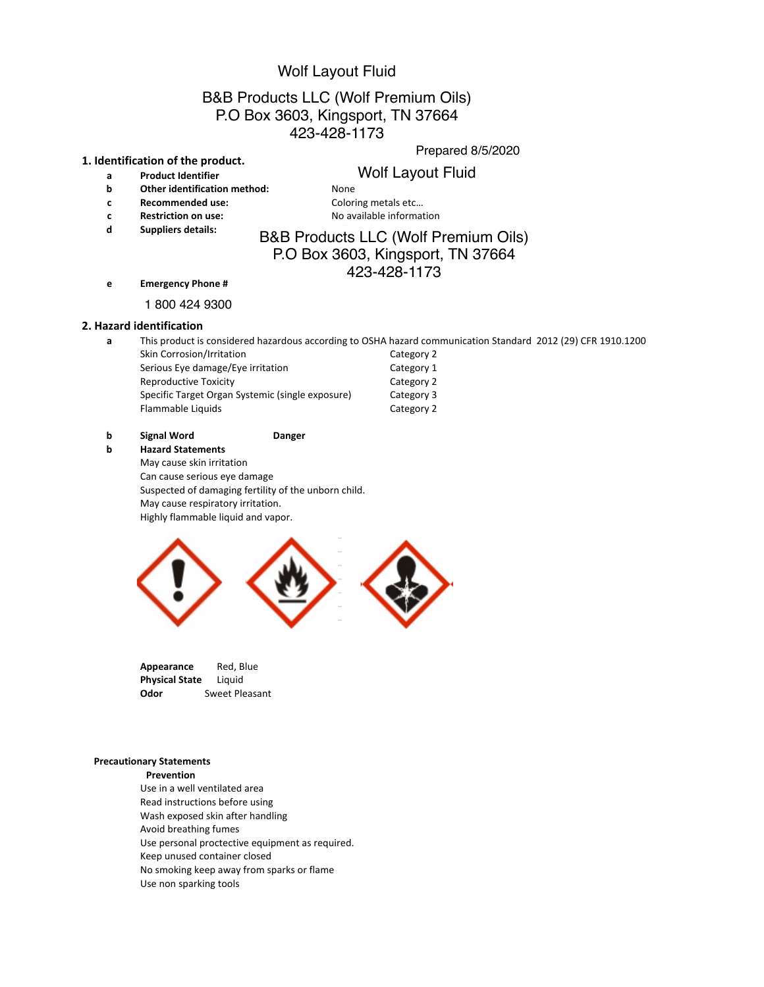# B&B Products LLC (Wolf Premium Oils) P.O Box 3603, Kingsport, TN 37664 PHONE: 1 ( 231) 861-6257, FAX: 1 (231) 861-6458 PREPARED 6/10/2015 423-428-1173 Wolf Layout Fluid<br>
cts LLC (Wolf Premium Oils)<br>
3603, Kingsport, TN 37664<br>
423-428-1173<br>
Prepared 8<br>
Wolf Layout Fluid<br>
None<br>
Coloring metals etc...<br>
No available information<br>
RB Products LLC (Wolf Premiu<br>
P.O Box 3603, Ki

#### **1. Identification of the product.**

- **b Other identification method:** None
- **c Recommended use:** Coloring metals etc...
- 
- **d Suppliers details:** Readers Dread under Laboratories U.C. (M/c

**c Restriction on use:** No available information

# B&B Products LLC (Wolf Premium Oils) P.O Box 3603, Kingsport, TN 37664 423-428-1173

**e Emergency Phone #** 

1&800&535&5063&Infotrac 1 800 424 9300

#### **2. Hazard identification**

**a** This product is considered hazardous according to OSHA hazard communication Standard 2012 (29) CFR 1910.1200

| Skin Corrosion/Irritation                        | Category 2 |
|--------------------------------------------------|------------|
| Serious Eye damage/Eye irritation                | Category 1 |
| <b>Reproductive Toxicity</b>                     | Category 2 |
| Specific Target Organ Systemic (single exposure) | Category 3 |
| Flammable Liquids                                | Category 2 |

### **b Signal Word Danger**

#### **b Hazard Statements**

- May cause skin irritation
- Can cause serious eye damage

Suspected of damaging fertility of the unborn child. May cause respiratory irritation.

Highly flammable liquid and vapor.



| Appearance                   | Red. Blue      |
|------------------------------|----------------|
| <b>Physical State</b> Liquid |                |
| Odor                         | Sweet Pleasant |

#### **Precautionary Statements**

**Prevention**

Use in a well ventilated area Read instructions before using Wash exposed skin after handling Avoid breathing fumes Use personal proctective equipment as required.

- Keep unused container closed
- No smoking keep away from sparks or flame
- Use non sparking tools

Prepared 8/5/2020

# a **Product Identifier begins a Wolf Layout Fluid**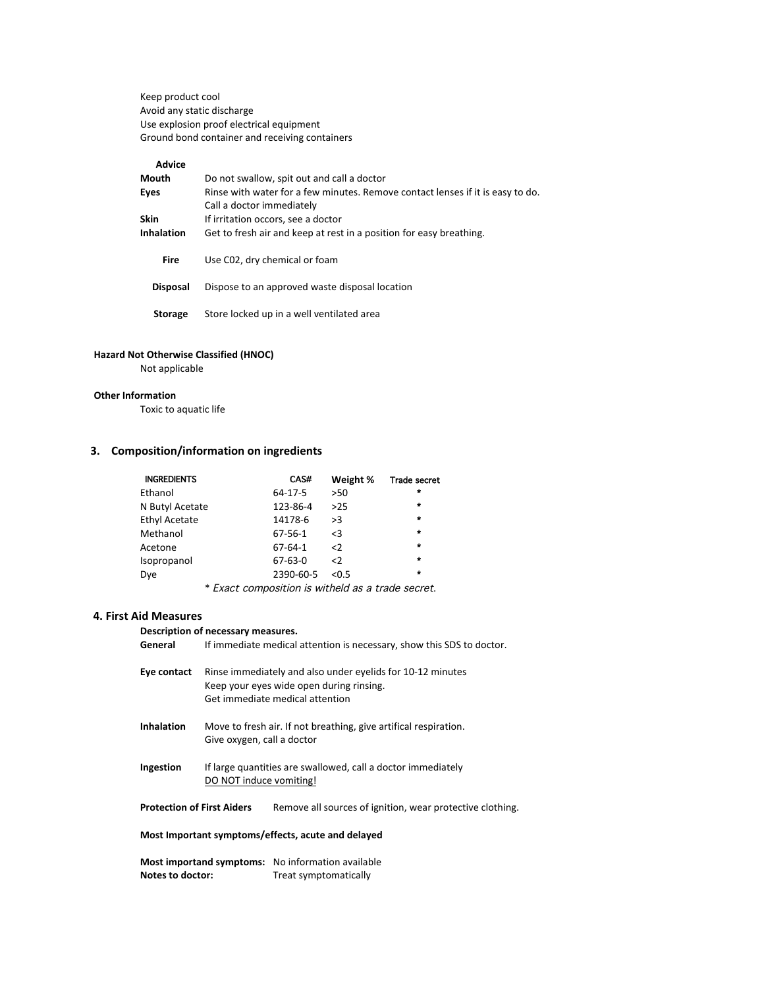Keep product cool Avoid any static discharge Use explosion proof electrical equipment Ground bond container and receiving containers

# **Advice**

| Mouth             | Do not swallow, spit out and call a doctor                                     |
|-------------------|--------------------------------------------------------------------------------|
| Eyes              | Rinse with water for a few minutes. Remove contact lenses if it is easy to do. |
|                   | Call a doctor immediately                                                      |
| Skin              | If irritation occors, see a doctor                                             |
| <b>Inhalation</b> | Get to fresh air and keep at rest in a position for easy breathing.            |
|                   |                                                                                |
| <b>Fire</b>       | Use C02, dry chemical or foam                                                  |
|                   |                                                                                |
| <b>Disposal</b>   | Dispose to an approved waste disposal location                                 |
|                   |                                                                                |
| <b>Storage</b>    | Store locked up in a well ventilated area                                      |

#### **Hazard Not Otherwise Classified (HNOC)**

Not applicable

#### **Other Information**

Toxic to aquatic life

# **3. Composition/information on ingredients**

| <b>INGREDIENTS</b> | CAS#          | Weight %    | <b>Trade secret</b> |
|--------------------|---------------|-------------|---------------------|
| Ethanol            | $64 - 17 - 5$ | $>50$       | $\star$             |
| N Butyl Acetate    | 123-86-4      | >25         | $\star$             |
| Ethyl Acetate      | 14178-6       | >3          | $\star$             |
| Methanol           | $67 - 56 - 1$ | $\leq$ 3    | $\star$             |
| Acetone            | $67 - 64 - 1$ | $\langle$ 2 | $\star$             |
| Isopropanol        | $67 - 63 - 0$ | $\langle$   | $\star$             |
| Dye                | 2390-60-5     | < 0.5       | $\star$             |
|                    |               |             |                     |

\*&Exact composition is witheld as a trade secret.

# **4. First Aid Measures**

**Description of necessary measures.** 

- General If immediate medical attention is necessary, show this SDS to doctor.
- Eye contact Rinse immediately and also under eyelids for 10-12 minutes Keep your eyes wide open during rinsing. Get immediate medical attention
- **Inhalation** Move to fresh air. If not breathing, give artifical respiration. Give oxygen, call a doctor
- **Ingestion** If large quantities are swallowed, call a doctor immediately DO NOT induce vomiting!

Protection of First Aiders Remove all sources of ignition, wear protective clothing.

#### **Most Important symptoms/effects, acute and delayed**

**Most importand symptoms:** No information available **Notes to doctor:** Treat symptomatically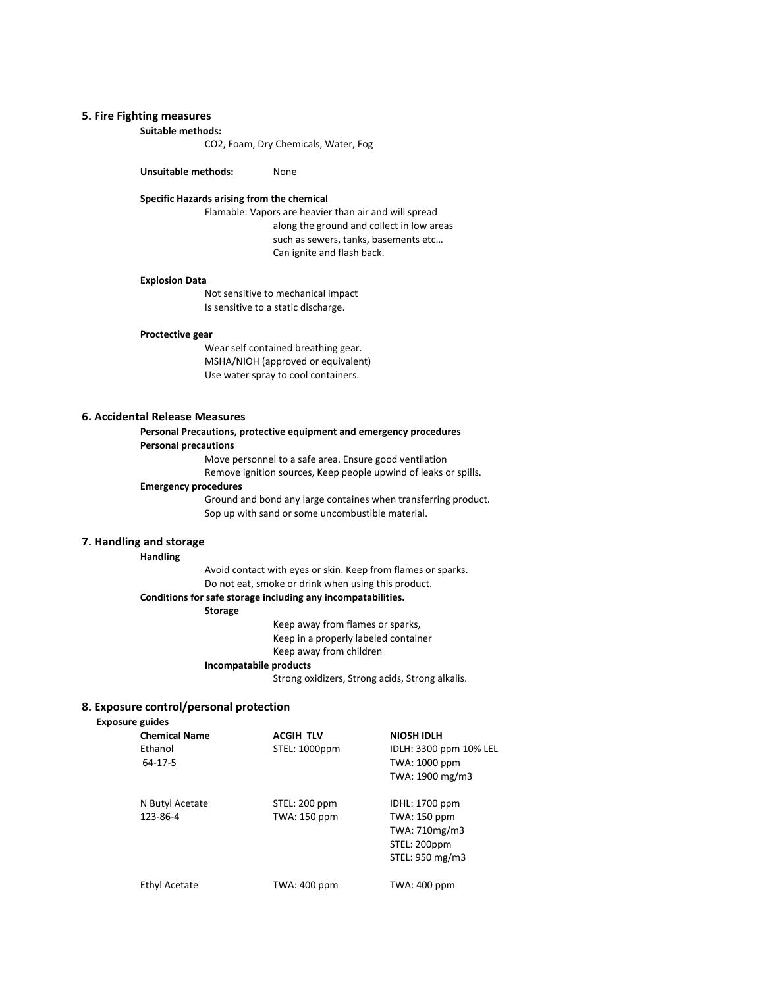# **5. Fire Fighting measures**

#### Suitable methods:

CO2, Foam, Dry Chemicals, Water, Fog

**Unsuitable methods:** None

#### **Specific Hazards arising from the chemical**

Flamable: Vapors are heavier than air and will spread along the ground and collect in low areas such as sewers, tanks, basements etc... Can ignite and flash back.

#### **Explosion Data**

Not sensitive to mechanical impact Is sensitive to a static discharge.

#### **Proctective gear**

Wear self contained breathing gear. MSHA/NIOH (approved or equivalent) Use water spray to cool containers.

#### **6. Accidental Release Measures**

#### Personal Precautions, protective equipment and emergency procedures **Personal precautions**

Move personnel to a safe area. Ensure good ventilation Remove ignition sources, Keep people upwind of leaks or spills.

#### **Emergency procedures**

Ground and bond any large containes when transferring product. Sop up with sand or some uncombustible material.

#### **7. Handling and storage**

#### **Handling**

Avoid contact with eyes or skin. Keep from flames or sparks. Do not eat, smoke or drink when using this product.

#### Conditions for safe storage including any incompatabilities.

### **Storage**

Keep away from flames or sparks, Keep in a properly labeled container Keep away from children **Incompatabile products** 

Strong oxidizers, Strong acids, Strong alkalis.

## **8. Exposure control/personal protection**

#### **Exposure guides**

| <b>Chemical Name</b> | <b>ACGIH TLV</b>    | <b>NIOSH IDLH</b>      |
|----------------------|---------------------|------------------------|
| Ethanol              | STEL: 1000ppm       | IDLH: 3300 ppm 10% LEL |
| 64-17-5              |                     | TWA: 1000 ppm          |
|                      |                     | TWA: 1900 mg/m3        |
| N Butyl Acetate      | STEL: 200 ppm       | IDHL: 1700 ppm         |
| 123-86-4             | <b>TWA: 150 ppm</b> | <b>TWA: 150 ppm</b>    |
|                      |                     | TWA: 710mg/m3          |
|                      |                     | STEL: 200ppm           |
|                      |                     | STEL: 950 mg/m3        |
| <b>Ethyl Acetate</b> | <b>TWA: 400 ppm</b> | TWA: 400 ppm           |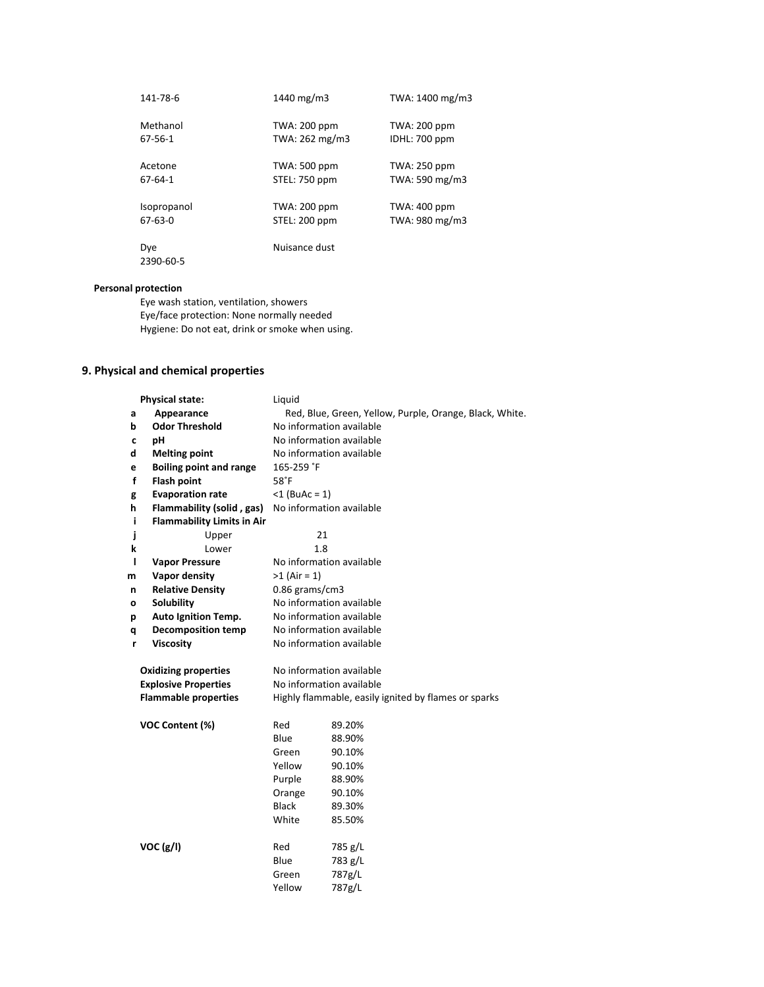| 141-78-6         | 1440 mg/m $3$       | TWA: 1400 mg/m3     |
|------------------|---------------------|---------------------|
| Methanol         | <b>TWA: 200 ppm</b> | TWA: 200 ppm        |
| 67-56-1          | TWA: 262 mg/m3      | IDHL: 700 ppm       |
| Acetone          | <b>TWA: 500 ppm</b> | <b>TWA: 250 ppm</b> |
| 67-64-1          | STEL: 750 ppm       | TWA: 590 mg/m3      |
| Isopropanol      | TWA: 200 ppm        | TWA: 400 ppm        |
| $67-63-0$        | STEL: 200 ppm       | TWA: 980 mg/m3      |
| Dye<br>2390-60-5 | Nuisance dust       |                     |

# **Personal protection**

Eye wash station, ventilation, showers Eye/face protection: None normally needed Hygiene: Do not eat, drink or smoke when using.

# **9. Physical and chemical properties**

|   | <b>Physical state:</b>            | Liquid                                                  |                                                      |  |
|---|-----------------------------------|---------------------------------------------------------|------------------------------------------------------|--|
| a | Appearance                        | Red, Blue, Green, Yellow, Purple, Orange, Black, White. |                                                      |  |
| b | <b>Odor Threshold</b>             | No information available                                |                                                      |  |
| C | pH                                |                                                         | No information available                             |  |
| d | <b>Melting point</b>              |                                                         | No information available                             |  |
| е | <b>Boiling point and range</b>    | 165-259 °F                                              |                                                      |  |
| f | <b>Flash point</b>                | 58 <sup>°</sup> F                                       |                                                      |  |
| g | <b>Evaporation rate</b>           | $<$ 1 (BuAc = 1)                                        |                                                      |  |
| h | Flammability (solid, gas)         |                                                         | No information available                             |  |
| i | <b>Flammability Limits in Air</b> |                                                         |                                                      |  |
| j | Upper                             | 21                                                      |                                                      |  |
| k | Lower                             | 1.8                                                     |                                                      |  |
| ı | <b>Vapor Pressure</b>             |                                                         | No information available                             |  |
| m | Vapor density                     | $>1$ (Air = 1)                                          |                                                      |  |
| n | <b>Relative Density</b>           | $0.86$ grams/cm3                                        |                                                      |  |
| о | Solubility                        | No information available                                |                                                      |  |
| р | <b>Auto Ignition Temp.</b>        | No information available                                |                                                      |  |
| q | <b>Decomposition temp</b>         | No information available                                |                                                      |  |
| r | <b>Viscosity</b>                  | No information available                                |                                                      |  |
|   |                                   |                                                         |                                                      |  |
|   | <b>Oxidizing properties</b>       | No information available                                |                                                      |  |
|   | <b>Explosive Properties</b>       |                                                         | No information available                             |  |
|   | <b>Flammable properties</b>       |                                                         | Highly flammable, easily ignited by flames or sparks |  |
|   | VOC Content (%)                   | Red                                                     | 89.20%                                               |  |
|   |                                   | Blue                                                    | 88.90%                                               |  |
|   |                                   | Green                                                   | 90.10%                                               |  |
|   |                                   | Yellow                                                  | 90.10%                                               |  |
|   |                                   | Purple                                                  | 88.90%                                               |  |
|   |                                   | Orange                                                  | 90.10%                                               |  |
|   |                                   | <b>Black</b>                                            | 89.30%                                               |  |
|   |                                   | White                                                   | 85.50%                                               |  |
|   | VOC (g/I)                         | Red                                                     | 785 g/L                                              |  |
|   |                                   | Blue                                                    | 783 g/L                                              |  |
|   |                                   | Green                                                   | 787g/L                                               |  |
|   |                                   | Yellow                                                  | 787g/L                                               |  |
|   |                                   |                                                         |                                                      |  |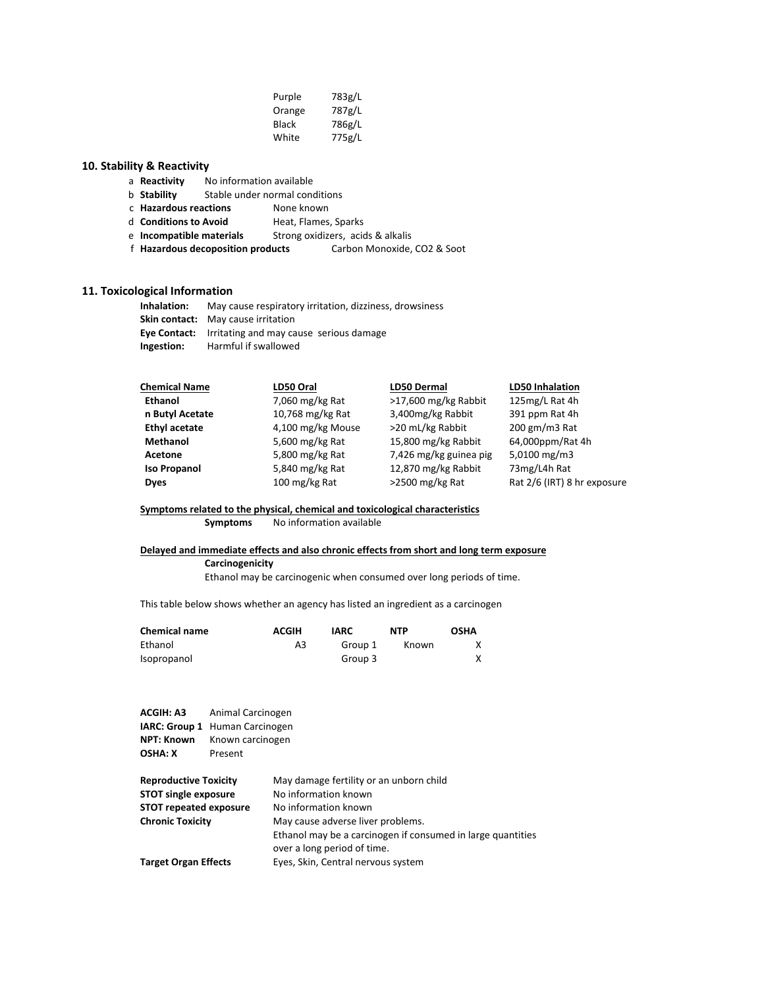| Purple | 783g/L |
|--------|--------|
| Orange | 787g/L |
| Black  | 786g/L |
| White  | 775g/L |

# **10. Stability & Reactivity**

- a **Reactivity** No information available
- b **Stability** Stable under normal conditions
- c **Hazardous reactions** None known<br>d **Conditions to Avoid** Heat. Flames.
	- Heat, Flames, Sparks
- e **Incompatible materials** Strong oxidizers, acids & alkalis
- f **Hazardous decoposition products** Carbon Monoxide, CO2 & Soot

# **11. Toxicological Information**

| Inhalation: | May cause respiratory irritation, dizziness, drowsiness     |
|-------------|-------------------------------------------------------------|
|             | <b>Skin contact:</b> May cause irritation                   |
|             | <b>Eye Contact:</b> Irritating and may cause serious damage |
| Ingestion:  | Harmful if swallowed                                        |

| <b>Chemical Name</b> | LD50 Oral         | <b>LD50 Dermal</b>     | <b>LD50 Inhalation</b>      |
|----------------------|-------------------|------------------------|-----------------------------|
| <b>Ethanol</b>       | $7,060$ mg/kg Rat | >17,600 mg/kg Rabbit   | 125mg/L Rat 4h              |
| n Butyl Acetate      | 10,768 mg/kg Rat  | 3,400mg/kg Rabbit      | 391 ppm Rat 4h              |
| <b>Ethyl acetate</b> | 4,100 mg/kg Mouse | >20 mL/kg Rabbit       | $200$ gm/m $3$ Rat          |
| Methanol             | 5,600 mg/kg Rat   | 15,800 mg/kg Rabbit    | 64,000ppm/Rat 4h            |
| Acetone              | 5,800 mg/kg Rat   | 7,426 mg/kg guinea pig | 5,0100 mg/m3                |
| <b>Iso Propanol</b>  | 5,840 mg/kg Rat   | 12,870 mg/kg Rabbit    | 73mg/L4h Rat                |
| <b>Dyes</b>          | 100 mg/kg Rat     | $>$ 2500 mg/kg Rat     | Rat 2/6 (IRT) 8 hr exposure |
|                      |                   |                        |                             |

# Symptoms related to the physical, chemical and toxicological characteristics

**Symptoms** No information available

#### Delayed and immediate effects and also chronic effects from short and long term exposure

#### **Carcinogenicity**

Ethanol may be carcinogenic when consumed over long periods of time.

This table below shows whether an agency has listed an ingredient as a carcinogen

| <b>Chemical name</b> | <b>ACGIH</b> | IARC    | <b>NTP</b> | <b>OSHA</b> |
|----------------------|--------------|---------|------------|-------------|
| Ethanol              | A3           | Group 1 | Known      |             |
| Isopropanol          |              | Group 3 |            |             |

| <b>ACGIH: A3</b><br>NPT: Known<br><b>OSHA: X</b> | Animal Carcinogen<br><b>IARC: Group 1</b> Human Carcinogen<br>Known carcinogen |                                                                                            |  |  |
|--------------------------------------------------|--------------------------------------------------------------------------------|--------------------------------------------------------------------------------------------|--|--|
|                                                  |                                                                                | Present                                                                                    |  |  |
| <b>Reproductive Toxicity</b>                     |                                                                                | May damage fertility or an unborn child                                                    |  |  |
| <b>STOT single exposure</b>                      |                                                                                | No information known                                                                       |  |  |
| <b>STOT repeated exposure</b>                    |                                                                                | No information known                                                                       |  |  |
| <b>Chronic Toxicity</b>                          |                                                                                | May cause adverse liver problems.                                                          |  |  |
|                                                  |                                                                                | Ethanol may be a carcinogen if consumed in large quantities<br>over a long period of time. |  |  |
| <b>Target Organ Effects</b>                      |                                                                                | Eyes, Skin, Central nervous system                                                         |  |  |